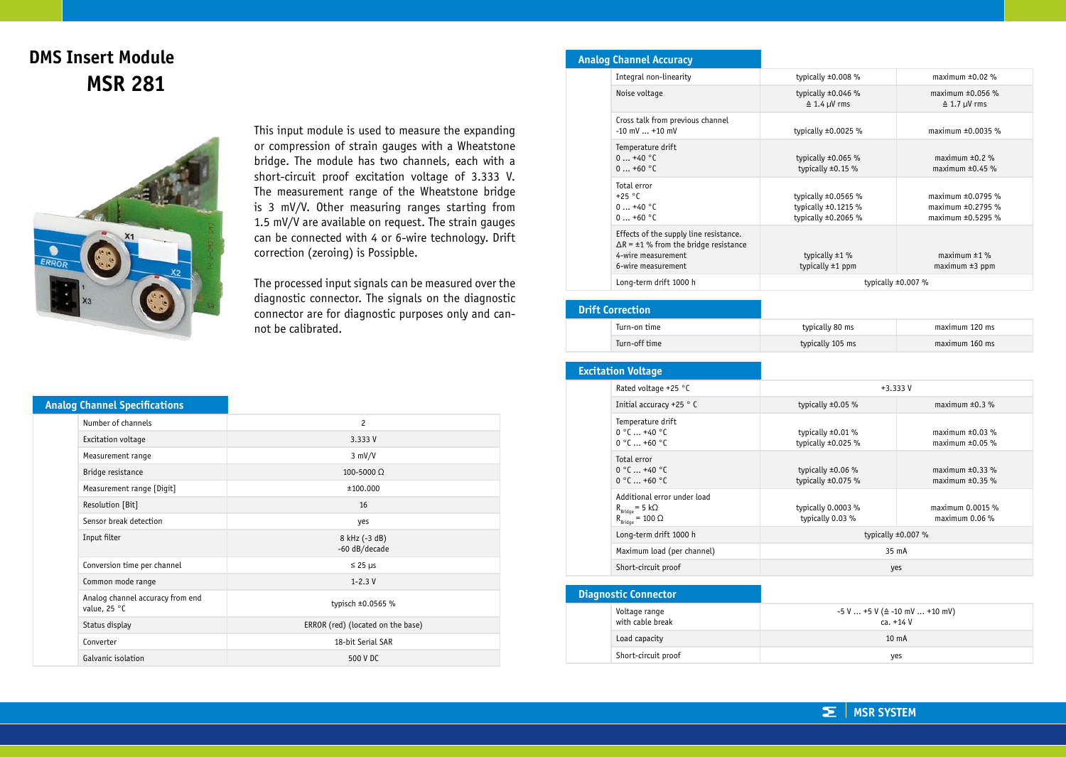## **DMS Insert Module MSR 281**



This input module is used to measure the expanding or compression of strain gauges with a Wheatstone bridge. The module has two channels, each with a short-circuit proof excitation voltage of 3.333 V. The measurement range of the Wheatstone bridge is 3 mV/V. Other measuring ranges starting from 1.5 mV/V are available on request. The strain gauges can be connected with 4 or 6-wire technology. Drift correction (zeroing) is Possipble.

The processed input signals can be measured over the diagnostic connector. The signals on the diagnostic connector are for diagnostic purposes only and cannot be calibrated.

## **Analog Channel Accuracy**

| Integral non-linearity                                                                                                             | typically $\pm 0.008$ %                                                          | maximum $\pm 0.02$ %                                                       |
|------------------------------------------------------------------------------------------------------------------------------------|----------------------------------------------------------------------------------|----------------------------------------------------------------------------|
| Noise voltage                                                                                                                      | typically $\pm 0.046$ %<br>$\triangleq$ 1.4 µV rms                               | maximum $\pm 0.056$ %<br>$\triangleq$ 1.7 µV rms                           |
| Cross talk from previous channel<br>$-10$ mV $$ +10 mV                                                                             | typically $\pm 0.0025$ %                                                         | maximum $\pm 0.0035$ %                                                     |
| Temperature drift<br>$0+40$ °C<br>$0+60$ °C                                                                                        | typically $\pm 0.065$ %<br>typically $\pm 0.15$ %                                | maximum $\pm 0.2$ %<br>maximum $\pm 0.45$ %                                |
| Total error<br>$+25 °C$<br>$0+40$ °C<br>$0+60$ °C                                                                                  | typically $\pm 0.0565$ %<br>typically $\pm 0.1215$ %<br>typically $\pm 0.2065$ % | maximum $\pm 0.0795$ %<br>maximum $\pm 0.2795$ %<br>maximum $\pm 0.5295$ % |
| Effects of the supply line resistance.<br>$\Delta$ R = ±1 % from the bridge resistance<br>4-wire measurement<br>6-wire measurement | typically $\pm 1$ %<br>typically $\pm 1$ ppm                                     | maximum $±1$ %<br>$maximum \pm 3 ppm$                                      |
| Long-term drift 1000 h                                                                                                             | typically $\pm 0.007$ %                                                          |                                                                            |

## **Drift Correction** Turn-on time typically 80 ms maximum 120 ms Turn-off time typically 105 ms maximum 160 ms

Total error  $0^{\circ}$  0  $+40^{\circ}$  0  $0 °C ... +60 °C$ 

 $R_{\text{Bridge}} = 5 \text{ k}\Omega$  $R_{\text{Bridge}} = 100 \Omega$ 

**Diagnostic Connector** Voltage range with cable break

Additional error under load

| <b>Excitation Voltage</b>                                                                   |                                                   |                                              |
|---------------------------------------------------------------------------------------------|---------------------------------------------------|----------------------------------------------|
| Rated voltage +25 $^{\circ}$ C                                                              | $+3.333V$                                         |                                              |
| Initial accuracy +25 $\degree$ C                                                            | typically $\pm 0.05$ %                            | maximum $\pm 0.3$ %                          |
| Temperature drift<br>$0^{\circ}$ C $$ +40 $^{\circ}$ C<br>$0^{\circ}$ C $$ +60 $^{\circ}$ C | typically $\pm 0.01$ %<br>typically $\pm 0.025$ % | maximum $\pm 0.03$ %<br>maximum $\pm 0.05$ % |

Long-term drift 1000 h typically ±0.007 % Maximum load (per channel) 35 mA Short-circuit proof yes

Load capacity 10 mA Short-circuit proof yes

typically ±0.06 % typically ±0.075 %

typically 0.0003 % typically 0.03 %

maximum  $\pm 0.33$ % maximum ±0.35 %

maximum 0.0015 % maximum 0.06 %

| <b>Analog Channel Specifications</b>             |                                   |
|--------------------------------------------------|-----------------------------------|
| Number of channels                               | $\overline{c}$                    |
| Excitation voltage                               | 3.333 V                           |
| Measurement range                                | $3$ mV/V                          |
| Bridge resistance                                | $100 - 5000$ $\Omega$             |
| Measurement range [Digit]                        | ±100.000                          |
| Resolution [Bit]                                 | 16                                |
| Sensor break detection                           | yes                               |
| Input filter                                     | 8 kHz (-3 dB)<br>-60 dB/decade    |
| Conversion time per channel                      | $\leq$ 25 µs                      |
| Common mode range                                | $1 - 2.3$ V                       |
| Analog channel accuracy from end<br>value, 25 °C | typisch ±0.0565 %                 |
| Status display                                   | ERROR (red) (located on the base) |
| Converter                                        | 18-bit Serial SAR                 |
| Galvanic isolation                               | 500 V DC                          |

**MSR SYSTEM** $\Sigma^-$ 

 $-5$  V  $\ldots$  +5 V ( $\triangle$  -10 mV  $\ldots$  +10 mV)  $ca. +14V$